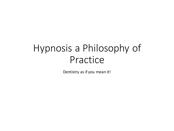# Hypnosis a Philosophy of Practice

Dentistry as if you mean it!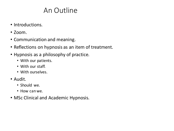## An Outline

- Introductions.
- $\cdot$  700 $m$ .
- Communication and meaning.
- Reflections on hypnosis as an item of treatment.
- Hypnosis as a philosophy of practice.
	- With our patients.
	- With our staff.
	- With ourselves.
- Audit.
	- Should we.
	- How can we.
- MSc Clinical and Academic Hypnosis.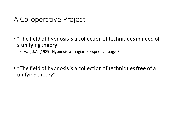## A Co-operative Project

- "The field of hypnosis is a collection of techniques in need of a unifying theory".
	- Hall, J.A. (1989) Hypnosis a Jungian Perspective page 7
- "The field of hypnosis is a collection of techniques free of a unifying theory".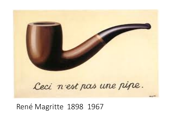

### René Magritte 1898 1967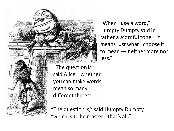

"When I use a word," Humpty Dumpty said in rather a scornful tone, "it means just what I choose it to mean  $-$  neither more nor less."

"The question is," said Alice, "whether you can make words mean so many different things."

"The question is," said Humpty Dumpty, "which is to be master - that's all."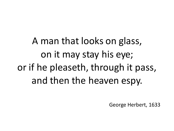A man that looks on glass, on it may stay his eye; or if he pleaseth, through it pass, and then the heaven espy.

George Herbert, 1633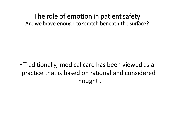• Traditionally, medical care has been viewed as a practice that is based on rational and considered thought.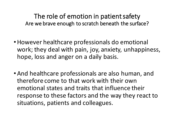- However healthcare professionals do emotional work; they deal with pain, joy, anxiety, unhappiness, hope, loss and anger on a daily basis.
- And healthcare professionals are also human, and therefore come to that work with their own emotional states and traits that influence their response to these factors and the way they react to situations, patients and colleagues.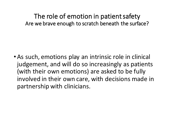• As such, emotions play an intrinsic role in clinical judgement, and will do so increasingly as patients (with their own emotions) are asked to be fully involved in their own care, with decisions made in partnership with clinicians.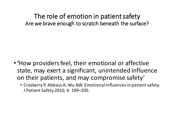- •**'**How providers feel, their emotional or affective state, may exert a significant, unintended influence on their patients, and may compromise safety'
	- Croskerry P, Abbass A, Wu AW. Emotional Influences in patient safety. J Patient Safety 2010; 6: 199-205.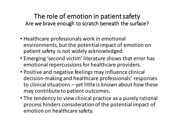- Healthcare professionals work in emotional environments, but the potential impact of emotion on patient safety is not widely acknowledged.
- Emerging 'second victim' literature shows that error has emotional repercussions for healthcare providers.
- Positive and negative feelings may influence clinical decision-making and healthcare professionals' responses to clinical situations  $-$  yet little is known about how these may contribute to patient outcomes.
- The tendency to view clinical practice as a purely rational process hinders consideration of the potential impact of emotion on healthcare safety.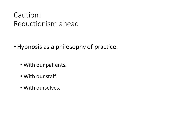## Caution! Reductionism ahead

- Hypnosis as a philosophy of practice.
	- With our patients.
	- With our staff.
	- With ourselves.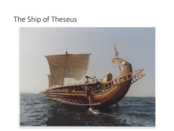## The Ship of Theseus

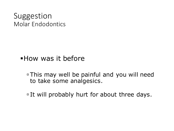## Suggestion Molar Endodontics

#### • How was it before

ú This may well be painful and you will need to take some analgesics.

It will probably hurt for about three days.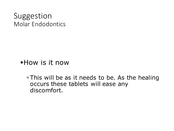## Suggestion Molar Endodontics

§How is it now

<sup>□</sup> This will be as it needs to be. As the healing occurs these tablets will ease any discomfort.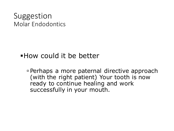## Suggestion Molar Endodontics

### • How could it be better

ú Perhaps a more paternal directive approach (with the right patient) Your tooth is now ready to continue healing and work successfully in your mouth.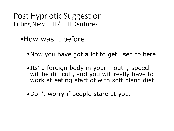Post Hypnotic Suggestion Fitting New Full / Full Dentures

§How was it before

ú Now you have got a lot to get used to here.

□ Its' a foreign body in your mouth, speech will be difficult, and you will really have to work at eating start of with soft bland diet.

ú Don't worry if people stare at you.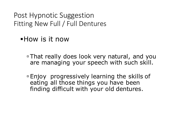Post Hypnotic Suggestion Fitting New Full / Full Dentures

§How is it now

**Example That really does look very natural, and you** are managing your speech with such skill.

ú Enjoy progressively learning the skills of eating all those things you have been finding difficult with your old dentures.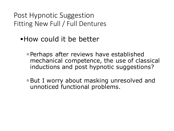Post Hypnotic Suggestion Fitting New Full / Full Dentures

## §How could it be better

- ú Perhaps after reviews have established mechanical competence, the use of classical inductions and post hypnotic suggestions?
- □ But I worry about masking unresolved and unnoticed functional problems.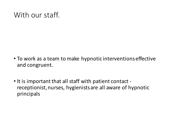## With our staff.

- To work as a team to make hypnotic interventions effective and congruent.
- It is important that all staff with patient contact receptionist, nurses, hygienists are all aware of hypnotic principals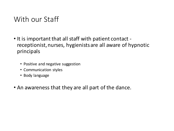## With our Staff

- It is important that all staff with patient contact receptionist, nurses, hygienists are all aware of hypnotic principals
	- Positive and negative suggestion
	- Communication styles
	- Body language
- An awareness that they are all part of the dance.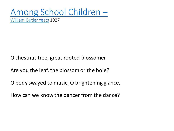## Among School Children –

William Butler Yeats 1927

O chestnut-tree, great-rooted blossomer,

Are you the leaf, the blossom or the bole?

O body swayed to music, O brightening glance,

How can we know the dancer from the dance?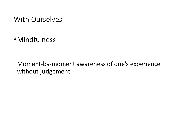#### With Ourselves

•Mindfulness

Moment-by-moment awareness of one's experience without judgement.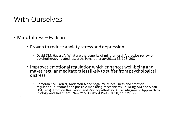#### With Ourselves

• Mindfulness – Evidence

•

- Proven to reduce anxiety, stress and depression.
	- David DM, Hayes JA. What are the benefits of mindfulness? A practice review of psychotherapy-related research. Psychotherapy 2011; 48: 198–208
- Improves emotional regulation which enhances well-being and<br>makes regular meditators less likely to suffer from psychological distress
	- Corcoran KM, Farb N, Anderson A and Segal ZV. Mindfulness and emotion<br>regulation: outcomes and possible mediating mechanisms. In: Kring AM and Sloan DM, (eds). Emotion Regulation and Psychopathology: A Transdiagnostic Approach to<br>Etiology and Treatment. New York: Guilford Press, 2010, pp.339–355.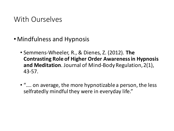### With Ourselves

- Mindfulness and Hypnosis
	- Semmens-Wheeler, R., & Dienes, Z. (2012). The **Contrasting Role of Higher Order Awareness in Hypnosis** and Meditation. Journal of Mind-Body Regulation, 2(1), 43-57.
	- ".... on average, the more hypnotizable a person, the less selfratedly mindful they were in everyday life."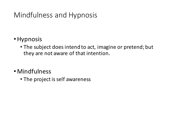- •Hypnosis
	- The subject does intend to act, imagine or pretend; but they are not aware of that intention.
- Mindfulness
	- The project is self awareness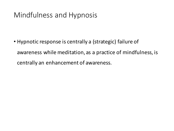• Hypnotic response is centrally a (strategic) failure of awareness while meditation, as a practice of mindfulness, is centrally an enhancement of awareness.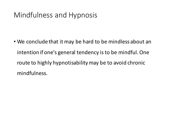• We conclude that it may be hard to be mindless about an intention if one's general tendency is to be mindful. One route to highly hypnotisability may be to avoid chronic mindfulness.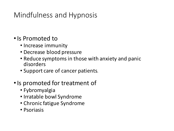#### • Is Promoted to

- Increase immunity
- Decrease blood pressure
- Reduce symptoms in those with anxiety and panic disorders
- Support care of cancer patients.
- Is promoted for treatment of
	- Fybromyalgia
	- Irratable bowl Syndrome
	- Chronic fatigue Syndrome
	- Psoriasis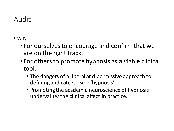## Audit

- Why
	- For ourselves to encourage and confirm that we are on the right track.
	- For others to promote hypnosis as a viable clinical tool.
		- The dangers of a liberal and permissive approach to defining and categorising 'hypnosis'
		- Promoting the academic neuroscience of hypnosis undervalues the clinical affect in practice.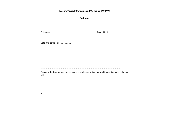**Measure Yourself Concerns and Wellbeing (MYCAW)** 

**First form** 

Full name............................................................. Date of birth ................

Date first completed ...................

………………………………………………………………………………………………………

Please write down one or two concerns or problems which you would most like us to help you with.

1.

2.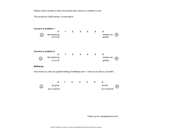Please circle a number to show how severe each concern or problem is now:

This should be YOUR opinion, no-one else's!





Thank you for completing this form.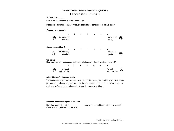#### **Measure Yourself Concerns and Wellbeing (MYCAW )**

**Follow up form** (face-to-face version)

Today's date ...................

Look at the concerns that you wrote down before.

Please circle a number to show how severe each of those concerns or problems is now:

#### **Concern or problem 1:**

|            | 0                                                                                        |   |                | 3 | 4 | 5 | 6                     |  |
|------------|------------------------------------------------------------------------------------------|---|----------------|---|---|---|-----------------------|--|
|            | Not bothering<br>me at all                                                               |   |                |   |   |   | bothers me<br>greatly |  |
|            | Concern or problem 2:<br>0                                                               | 1 | $\overline{2}$ | 3 | 4 | 5 | 6                     |  |
| Œ          | Not bothering<br>me at all                                                               |   |                |   |   |   | bothers me<br>greatly |  |
| Wellbeing: | How would you rate your general feeling of wellbeing now? (How do you feel in yourself?) |   |                |   |   |   |                       |  |
|            | 0                                                                                        | 1 |                | 3 | 4 | 5 | 6                     |  |



#### **Other things affecting your health**

The treatment that you have received here may not be the only thing affecting your concern or problem. If there is anything else which you think is important, such as changes which you have made yourself, or other things happening in your life, please write it here.

#### **What has been most important for you?**

Reflecting on your time with  $\qquad \qquad$ , what were the most important aspects for you? ( write overleaf if you need more space)

Thank you for completing this form.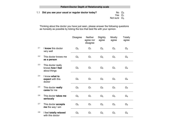1.1 **Did you see your usual or regular doctor today?** 

Yes  $\Box_1$ Not sure  $\Box_2$ No  $\square_0$ 

Thinking about the doctor you have just seen, please answer the following questions as honestly as possible by ticking the box that best fits with your opinion.

|     |                                                        | Disagree    | Neither<br>agree nor<br>disagree | Slightly<br>agree | Mostly<br>agree | Totally<br>agree |
|-----|--------------------------------------------------------|-------------|----------------------------------|-------------------|-----------------|------------------|
| 2.1 | I know this doctor<br>very well                        | $\square_0$ | $\Box_1$                         | $\Box$            | $\square_3$     | $\square_4$      |
| 2.2 | This doctor knows me<br>as a person                    | $\square_0$ | $\Box_1$                         | $\Box_2$          | $\square_3$     | $\square_4$      |
| 2.3 | This doctor really<br>knows how I feel<br>about things | $\square_0$ | $\square_1$                      | 口 <sub>2</sub>    | $\square_3$     | $\square_4$      |
| 2.4 | I know what to<br>expect with this<br>doctor           | $\Box_0$    | $\Box_1$                         | $\Box_2$          | $\square_3$     | $\square_4$      |
| 2.5 | This doctor really<br>cares for me                     | $\square_0$ | $\square_1$                      | $\Box_2$          | $\square_3$     | $\square_4$      |
| 2.6 | This doctor takes me<br>seriously                      | $\square_0$ | $\square_1$                      | $\Box_2$          | $\square_3$     | $\square_4$      |
| 2.7 | This doctor accepts<br>me the way I am                 | $\square_0$ | $\square_1$                      | $\square_2$       | $\square_3$     | $\square_4$      |
| 2.8 | I feel totally relaxed<br>with this doctor             | $\square_0$ | $\square_1$                      | $\square_2$       | $\square_3$     | $\square_4$      |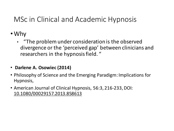- Why
	- "The problem under consideration is the observed divergence or the 'perceived gap' between clinicians and researchers in the hypnosis field. "
- **Darlene A. Osowiec (2014)**
- Philosophy of Science and the Emerging Paradigm: Implications for Hypnosis,
- American Journal of Clinical Hypnosis, 56:3, 216-233, DOI: 10.1080/00029157.2013.858613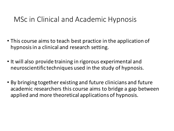- This course aims to teach best practice in the application of hypnosis in a clinical and research setting.
- It will also provide training in rigorous experimental and neuroscientific techniques used in the study of hypnosis.
- By bringing together existing and future clinicians and future academic researchers this course aims to bridge a gap between applied and more theoretical applications of hypnosis.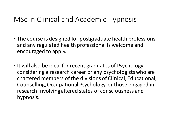- The course is designed for postgraduate health professions and any regulated health professional is welcome and encouraged to apply.
- It will also be ideal for recent graduates of Psychology considering a research career or any psychologists who are chartered members of the divisions of Clinical, Educational, Counselling, Occupational Psychology, or those engaged in research involving altered states of consciousness and hypnosis.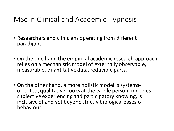- Researchers and clinicians operating from different paradigms.
- On the one hand the empirical academic research approach, relies on a mechanistic model of externally observable, measurable, quantitative data, reducible parts.
- On the other hand, a more holistic model is systems-<br>oriented, qualitative, looks at the whole person, includes subjective experiencing and participatory knowing, is inclusive of and yet beyond strictly biological bases of behaviour.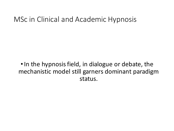• In the hypnosis field, in dialogue or debate, the mechanistic model still garners dominant paradigm status.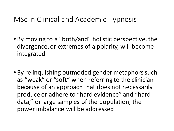- By moving to a "both/and" holistic perspective, the divergence, or extremes of a polarity, will become integrated
- By relinquishing outmoded gender metaphors such as "weak" or "soft" when referring to the clinician because of an approach that does not necessarily produce or adhere to "hard evidence" and "hard data," or large samples of the population, the power imbalance will be addressed